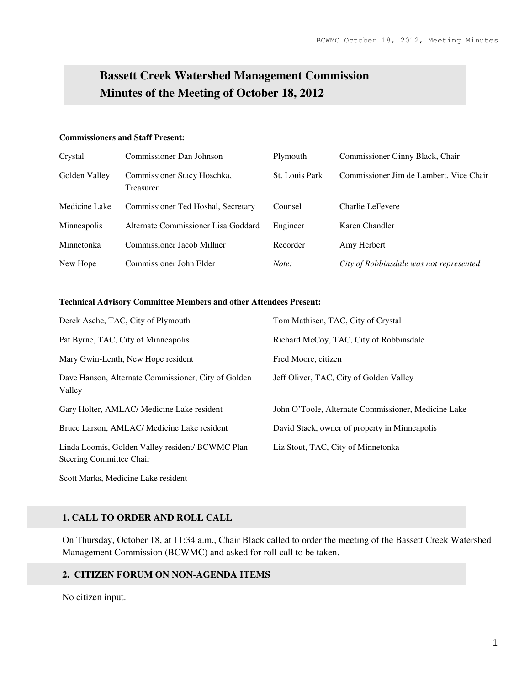# **Bassett Creek Watershed Management Commission Minutes of the Meeting of October 18, 2012**

#### **Commissioners and Staff Present:**

| Crystal       | Commissioner Dan Johnson                 | Plymouth              | Commissioner Ginny Black, Chair         |
|---------------|------------------------------------------|-----------------------|-----------------------------------------|
| Golden Valley | Commissioner Stacy Hoschka,<br>Treasurer | <b>St.</b> Louis Park | Commissioner Jim de Lambert, Vice Chair |
| Medicine Lake | Commissioner Ted Hoshal, Secretary       | Counsel               | Charlie LeFevere                        |
| Minneapolis   | Alternate Commissioner Lisa Goddard      | Engineer              | Karen Chandler                          |
| Minnetonka    | Commissioner Jacob Millner               | Recorder              | Amy Herbert                             |
| New Hope      | Commissioner John Elder                  | Note:                 | City of Robbinsdale was not represented |

#### **Technical Advisory Committee Members and other Attendees Present:**

| Derek Asche, TAC, City of Plymouth                                                  | Tom Mathisen, TAC, City of Crystal                  |
|-------------------------------------------------------------------------------------|-----------------------------------------------------|
| Pat Byrne, TAC, City of Minneapolis                                                 | Richard McCoy, TAC, City of Robbinsdale             |
| Mary Gwin-Lenth, New Hope resident                                                  | Fred Moore, citizen                                 |
| Dave Hanson, Alternate Commissioner, City of Golden<br>Valley                       | Jeff Oliver, TAC, City of Golden Valley             |
| Gary Holter, AMLAC/ Medicine Lake resident                                          | John O'Toole, Alternate Commissioner, Medicine Lake |
| Bruce Larson, AMLAC/ Medicine Lake resident                                         | David Stack, owner of property in Minneapolis       |
| Linda Loomis, Golden Valley resident/ BCWMC Plan<br><b>Steering Committee Chair</b> | Liz Stout, TAC, City of Minnetonka                  |

Scott Marks, Medicine Lake resident

#### **1. CALL TO ORDER AND ROLL CALL**

On Thursday, October 18, at 11:34 a.m., Chair Black called to order the meeting of the Bassett Creek Watershed Management Commission (BCWMC) and asked for roll call to be taken.

#### **2. CITIZEN FORUM ON NON-AGENDA ITEMS**

No citizen input.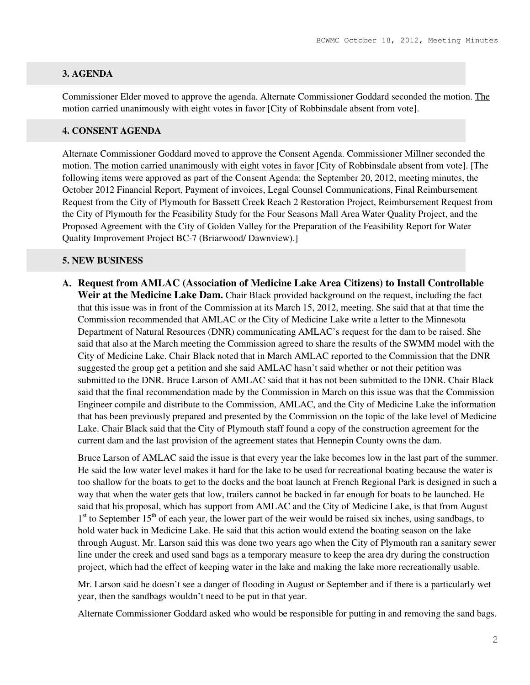## **3. AGENDA**

Commissioner Elder moved to approve the agenda. Alternate Commissioner Goddard seconded the motion. The motion carried unanimously with eight votes in favor [City of Robbinsdale absent from vote].

#### **4. CONSENT AGENDA**

Alternate Commissioner Goddard moved to approve the Consent Agenda. Commissioner Millner seconded the motion. The motion carried unanimously with eight votes in favor [City of Robbinsdale absent from vote]. [The following items were approved as part of the Consent Agenda: the September 20, 2012, meeting minutes, the October 2012 Financial Report, Payment of invoices, Legal Counsel Communications, Final Reimbursement Request from the City of Plymouth for Bassett Creek Reach 2 Restoration Project, Reimbursement Request from the City of Plymouth for the Feasibility Study for the Four Seasons Mall Area Water Quality Project, and the Proposed Agreement with the City of Golden Valley for the Preparation of the Feasibility Report for Water Quality Improvement Project BC-7 (Briarwood/ Dawnview).]

#### **5. NEW BUSINESS**

**A. Request from AMLAC (Association of Medicine Lake Area Citizens) to Install Controllable Weir at the Medicine Lake Dam.** Chair Black provided background on the request, including the fact that this issue was in front of the Commission at its March 15, 2012, meeting. She said that at that time the Commission recommended that AMLAC or the City of Medicine Lake write a letter to the Minnesota Department of Natural Resources (DNR) communicating AMLAC's request for the dam to be raised. She said that also at the March meeting the Commission agreed to share the results of the SWMM model with the City of Medicine Lake. Chair Black noted that in March AMLAC reported to the Commission that the DNR suggested the group get a petition and she said AMLAC hasn't said whether or not their petition was submitted to the DNR. Bruce Larson of AMLAC said that it has not been submitted to the DNR. Chair Black said that the final recommendation made by the Commission in March on this issue was that the Commission Engineer compile and distribute to the Commission, AMLAC, and the City of Medicine Lake the information that has been previously prepared and presented by the Commission on the topic of the lake level of Medicine Lake. Chair Black said that the City of Plymouth staff found a copy of the construction agreement for the current dam and the last provision of the agreement states that Hennepin County owns the dam.

Bruce Larson of AMLAC said the issue is that every year the lake becomes low in the last part of the summer. He said the low water level makes it hard for the lake to be used for recreational boating because the water is too shallow for the boats to get to the docks and the boat launch at French Regional Park is designed in such a way that when the water gets that low, trailers cannot be backed in far enough for boats to be launched. He said that his proposal, which has support from AMLAC and the City of Medicine Lake, is that from August 1<sup>st</sup> to September 15<sup>th</sup> of each year, the lower part of the weir would be raised six inches, using sandbags, to hold water back in Medicine Lake. He said that this action would extend the boating season on the lake through August. Mr. Larson said this was done two years ago when the City of Plymouth ran a sanitary sewer line under the creek and used sand bags as a temporary measure to keep the area dry during the construction project, which had the effect of keeping water in the lake and making the lake more recreationally usable.

Mr. Larson said he doesn't see a danger of flooding in August or September and if there is a particularly wet year, then the sandbags wouldn't need to be put in that year.

Alternate Commissioner Goddard asked who would be responsible for putting in and removing the sand bags.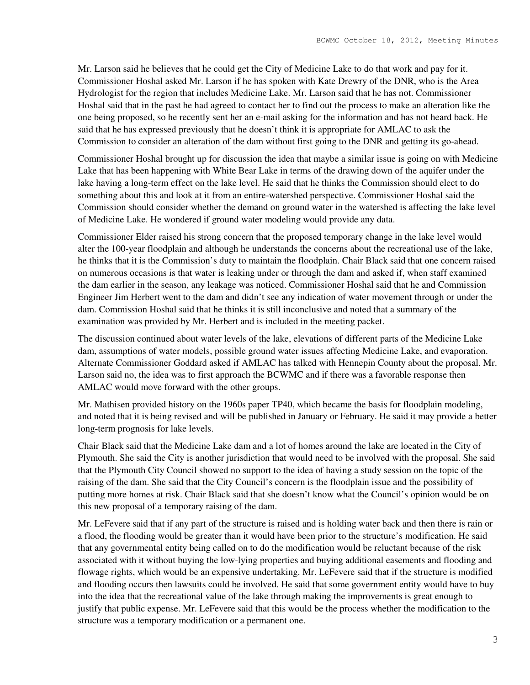Mr. Larson said he believes that he could get the City of Medicine Lake to do that work and pay for it. Commissioner Hoshal asked Mr. Larson if he has spoken with Kate Drewry of the DNR, who is the Area Hydrologist for the region that includes Medicine Lake. Mr. Larson said that he has not. Commissioner Hoshal said that in the past he had agreed to contact her to find out the process to make an alteration like the one being proposed, so he recently sent her an e-mail asking for the information and has not heard back. He said that he has expressed previously that he doesn't think it is appropriate for AMLAC to ask the Commission to consider an alteration of the dam without first going to the DNR and getting its go-ahead.

Commissioner Hoshal brought up for discussion the idea that maybe a similar issue is going on with Medicine Lake that has been happening with White Bear Lake in terms of the drawing down of the aquifer under the lake having a long-term effect on the lake level. He said that he thinks the Commission should elect to do something about this and look at it from an entire-watershed perspective. Commissioner Hoshal said the Commission should consider whether the demand on ground water in the watershed is affecting the lake level of Medicine Lake. He wondered if ground water modeling would provide any data.

Commissioner Elder raised his strong concern that the proposed temporary change in the lake level would alter the 100-year floodplain and although he understands the concerns about the recreational use of the lake, he thinks that it is the Commission's duty to maintain the floodplain. Chair Black said that one concern raised on numerous occasions is that water is leaking under or through the dam and asked if, when staff examined the dam earlier in the season, any leakage was noticed. Commissioner Hoshal said that he and Commission Engineer Jim Herbert went to the dam and didn't see any indication of water movement through or under the dam. Commission Hoshal said that he thinks it is still inconclusive and noted that a summary of the examination was provided by Mr. Herbert and is included in the meeting packet.

The discussion continued about water levels of the lake, elevations of different parts of the Medicine Lake dam, assumptions of water models, possible ground water issues affecting Medicine Lake, and evaporation. Alternate Commissioner Goddard asked if AMLAC has talked with Hennepin County about the proposal. Mr. Larson said no, the idea was to first approach the BCWMC and if there was a favorable response then AMLAC would move forward with the other groups.

Mr. Mathisen provided history on the 1960s paper TP40, which became the basis for floodplain modeling, and noted that it is being revised and will be published in January or February. He said it may provide a better long-term prognosis for lake levels.

Chair Black said that the Medicine Lake dam and a lot of homes around the lake are located in the City of Plymouth. She said the City is another jurisdiction that would need to be involved with the proposal. She said that the Plymouth City Council showed no support to the idea of having a study session on the topic of the raising of the dam. She said that the City Council's concern is the floodplain issue and the possibility of putting more homes at risk. Chair Black said that she doesn't know what the Council's opinion would be on this new proposal of a temporary raising of the dam.

Mr. LeFevere said that if any part of the structure is raised and is holding water back and then there is rain or a flood, the flooding would be greater than it would have been prior to the structure's modification. He said that any governmental entity being called on to do the modification would be reluctant because of the risk associated with it without buying the low-lying properties and buying additional easements and flooding and flowage rights, which would be an expensive undertaking. Mr. LeFevere said that if the structure is modified and flooding occurs then lawsuits could be involved. He said that some government entity would have to buy into the idea that the recreational value of the lake through making the improvements is great enough to justify that public expense. Mr. LeFevere said that this would be the process whether the modification to the structure was a temporary modification or a permanent one.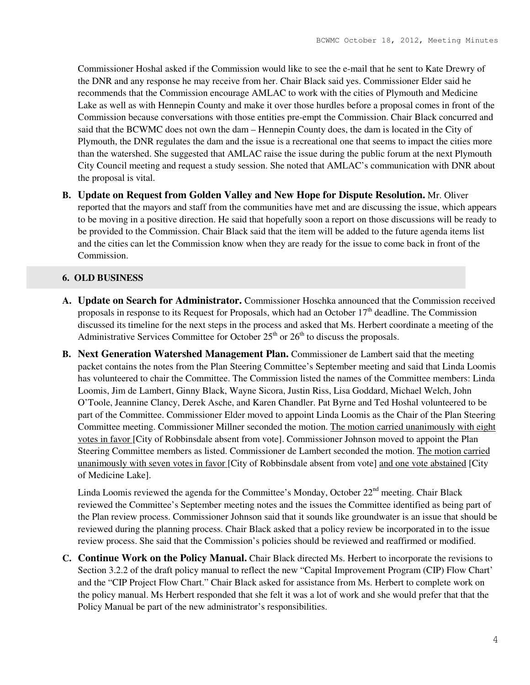Commissioner Hoshal asked if the Commission would like to see the e-mail that he sent to Kate Drewry of the DNR and any response he may receive from her. Chair Black said yes. Commissioner Elder said he recommends that the Commission encourage AMLAC to work with the cities of Plymouth and Medicine Lake as well as with Hennepin County and make it over those hurdles before a proposal comes in front of the Commission because conversations with those entities pre-empt the Commission. Chair Black concurred and said that the BCWMC does not own the dam – Hennepin County does, the dam is located in the City of Plymouth, the DNR regulates the dam and the issue is a recreational one that seems to impact the cities more than the watershed. She suggested that AMLAC raise the issue during the public forum at the next Plymouth City Council meeting and request a study session. She noted that AMLAC's communication with DNR about the proposal is vital.

**B. Update on Request from Golden Valley and New Hope for Dispute Resolution.** Mr. Oliver reported that the mayors and staff from the communities have met and are discussing the issue, which appears to be moving in a positive direction. He said that hopefully soon a report on those discussions will be ready to be provided to the Commission. Chair Black said that the item will be added to the future agenda items list and the cities can let the Commission know when they are ready for the issue to come back in front of the Commission.

#### **6. OLD BUSINESS**

- **A. Update on Search for Administrator.** Commissioner Hoschka announced that the Commission received proposals in response to its Request for Proposals, which had an October  $17<sup>th</sup>$  deadline. The Commission discussed its timeline for the next steps in the process and asked that Ms. Herbert coordinate a meeting of the Administrative Services Committee for October  $25<sup>th</sup>$  or  $26<sup>th</sup>$  to discuss the proposals.
- **B. Next Generation Watershed Management Plan.** Commissioner de Lambert said that the meeting packet contains the notes from the Plan Steering Committee's September meeting and said that Linda Loomis has volunteered to chair the Committee. The Commission listed the names of the Committee members: Linda Loomis, Jim de Lambert, Ginny Black, Wayne Sicora, Justin Riss, Lisa Goddard, Michael Welch, John O'Toole, Jeannine Clancy, Derek Asche, and Karen Chandler. Pat Byrne and Ted Hoshal volunteered to be part of the Committee. Commissioner Elder moved to appoint Linda Loomis as the Chair of the Plan Steering Committee meeting. Commissioner Millner seconded the motion. The motion carried unanimously with eight votes in favor [City of Robbinsdale absent from vote]. Commissioner Johnson moved to appoint the Plan Steering Committee members as listed. Commissioner de Lambert seconded the motion. The motion carried unanimously with seven votes in favor [City of Robbinsdale absent from vote] and one vote abstained [City of Medicine Lake].

Linda Loomis reviewed the agenda for the Committee's Monday, October  $22<sup>nd</sup>$  meeting. Chair Black reviewed the Committee's September meeting notes and the issues the Committee identified as being part of the Plan review process. Commissioner Johnson said that it sounds like groundwater is an issue that should be reviewed during the planning process. Chair Black asked that a policy review be incorporated in to the issue review process. She said that the Commission's policies should be reviewed and reaffirmed or modified.

**C. Continue Work on the Policy Manual.** Chair Black directed Ms. Herbert to incorporate the revisions to Section 3.2.2 of the draft policy manual to reflect the new "Capital Improvement Program (CIP) Flow Chart' and the "CIP Project Flow Chart." Chair Black asked for assistance from Ms. Herbert to complete work on the policy manual. Ms Herbert responded that she felt it was a lot of work and she would prefer that that the Policy Manual be part of the new administrator's responsibilities.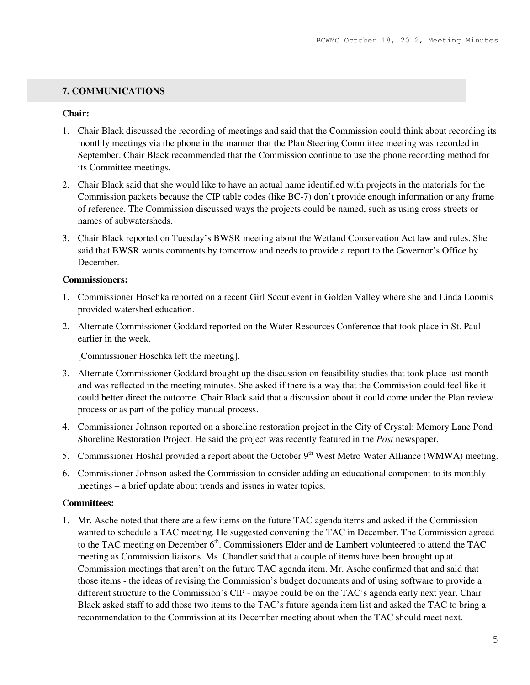## **7. COMMUNICATIONS**

#### **Chair:**

- 1. Chair Black discussed the recording of meetings and said that the Commission could think about recording its monthly meetings via the phone in the manner that the Plan Steering Committee meeting was recorded in September. Chair Black recommended that the Commission continue to use the phone recording method for its Committee meetings.
- 2. Chair Black said that she would like to have an actual name identified with projects in the materials for the Commission packets because the CIP table codes (like BC-7) don't provide enough information or any frame of reference. The Commission discussed ways the projects could be named, such as using cross streets or names of subwatersheds.
- 3. Chair Black reported on Tuesday's BWSR meeting about the Wetland Conservation Act law and rules. She said that BWSR wants comments by tomorrow and needs to provide a report to the Governor's Office by December.

## **Commissioners:**

- 1. Commissioner Hoschka reported on a recent Girl Scout event in Golden Valley where she and Linda Loomis provided watershed education.
- 2. Alternate Commissioner Goddard reported on the Water Resources Conference that took place in St. Paul earlier in the week.

[Commissioner Hoschka left the meeting].

- 3. Alternate Commissioner Goddard brought up the discussion on feasibility studies that took place last month and was reflected in the meeting minutes. She asked if there is a way that the Commission could feel like it could better direct the outcome. Chair Black said that a discussion about it could come under the Plan review process or as part of the policy manual process.
- 4. Commissioner Johnson reported on a shoreline restoration project in the City of Crystal: Memory Lane Pond Shoreline Restoration Project. He said the project was recently featured in the *Post* newspaper.
- 5. Commissioner Hoshal provided a report about the October  $9<sup>th</sup>$  West Metro Water Alliance (WMWA) meeting.
- 6. Commissioner Johnson asked the Commission to consider adding an educational component to its monthly meetings – a brief update about trends and issues in water topics.

#### **Committees:**

1. Mr. Asche noted that there are a few items on the future TAC agenda items and asked if the Commission wanted to schedule a TAC meeting. He suggested convening the TAC in December. The Commission agreed to the TAC meeting on December  $6<sup>th</sup>$ . Commissioners Elder and de Lambert volunteered to attend the TAC meeting as Commission liaisons. Ms. Chandler said that a couple of items have been brought up at Commission meetings that aren't on the future TAC agenda item. Mr. Asche confirmed that and said that those items - the ideas of revising the Commission's budget documents and of using software to provide a different structure to the Commission's CIP - maybe could be on the TAC's agenda early next year. Chair Black asked staff to add those two items to the TAC's future agenda item list and asked the TAC to bring a recommendation to the Commission at its December meeting about when the TAC should meet next.